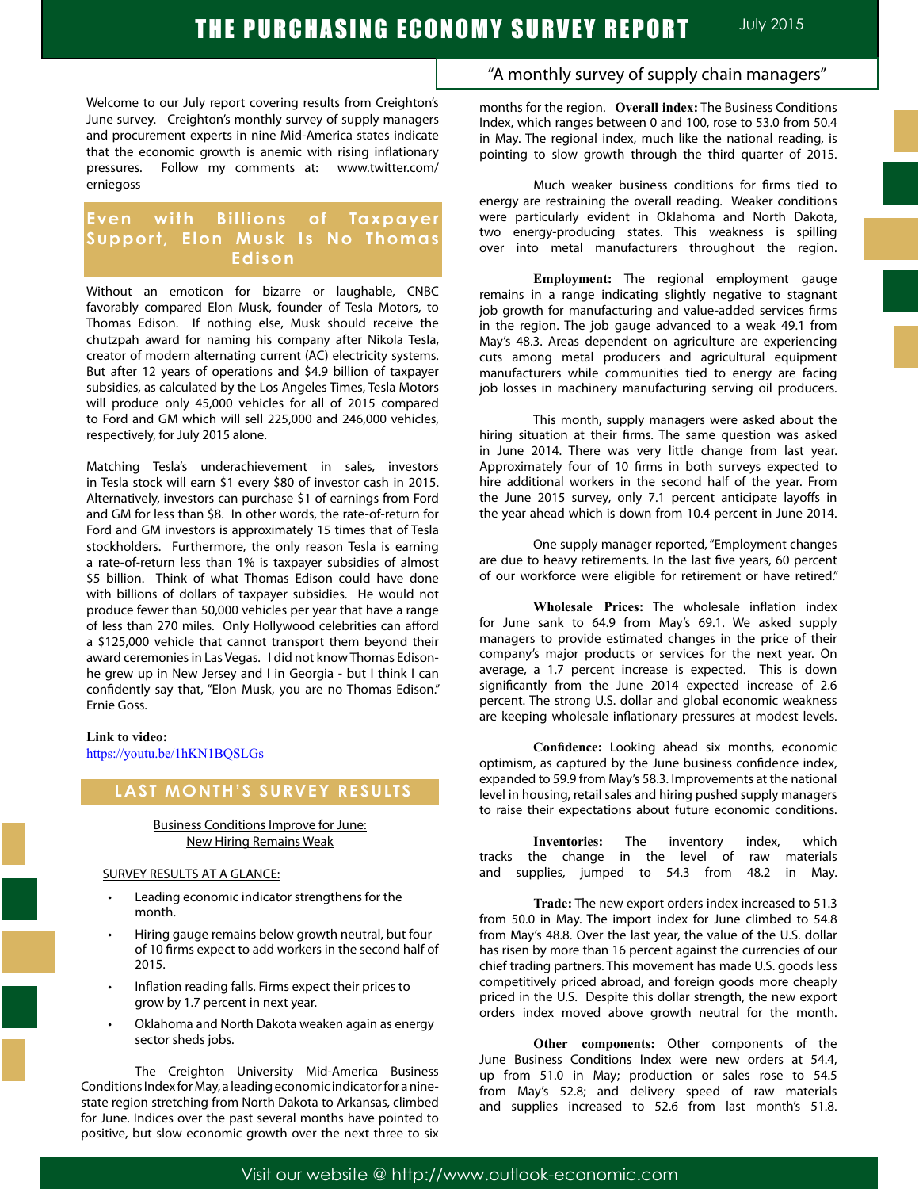Welcome to our July report covering results from Creighton's June survey. Creighton's monthly survey of supply managers and procurement experts in nine Mid-America states indicate that the economic growth is anemic with rising inflationary pressures. Follow my comments at: www.twitter.com/ erniegoss

### **Even with Billions of Taxpayer Support, Elon Musk Is No Thomas Edison**

Without an emoticon for bizarre or laughable, CNBC favorably compared Elon Musk, founder of Tesla Motors, to Thomas Edison. If nothing else, Musk should receive the chutzpah award for naming his company after Nikola Tesla, creator of modern alternating current (AC) electricity systems. But after 12 years of operations and \$4.9 billion of taxpayer subsidies, as calculated by the Los Angeles Times, Tesla Motors will produce only 45,000 vehicles for all of 2015 compared to Ford and GM which will sell 225,000 and 246,000 vehicles, respectively, for July 2015 alone.

Matching Tesla's underachievement in sales, investors in Tesla stock will earn \$1 every \$80 of investor cash in 2015. Alternatively, investors can purchase \$1 of earnings from Ford and GM for less than \$8. In other words, the rate-of-return for Ford and GM investors is approximately 15 times that of Tesla stockholders. Furthermore, the only reason Tesla is earning a rate-of-return less than 1% is taxpayer subsidies of almost \$5 billion. Think of what Thomas Edison could have done with billions of dollars of taxpayer subsidies. He would not produce fewer than 50,000 vehicles per year that have a range of less than 270 miles. Only Hollywood celebrities can afford a \$125,000 vehicle that cannot transport them beyond their award ceremonies in Las Vegas. I did not know Thomas Edisonhe grew up in New Jersey and I in Georgia - but I think I can confidently say that, "Elon Musk, you are no Thomas Edison." Ernie Goss.

#### **Link to video:**

https://youtu.be/1hKN1BQSLGs

### **LAST MONTH'S SURVEY RESULTS**

#### Business Conditions Improve for June: New Hiring Remains Weak

#### SURVEY RESULTS AT A GLANCE:

- Leading economic indicator strengthens for the month.
- Hiring gauge remains below growth neutral, but four of 10 firms expect to add workers in the second half of 2015.
- Inflation reading falls. Firms expect their prices to grow by 1.7 percent in next year.
- Oklahoma and North Dakota weaken again as energy sector sheds jobs.

 The Creighton University Mid-America Business Conditions Index for May, a leading economic indicator for a ninestate region stretching from North Dakota to Arkansas, climbed for June. Indices over the past several months have pointed to positive, but slow economic growth over the next three to six

### "A monthly survey of supply chain managers"

months for the region. **Overall index:** The Business Conditions Index, which ranges between 0 and 100, rose to 53.0 from 50.4 in May. The regional index, much like the national reading, is pointing to slow growth through the third quarter of 2015.

Much weaker business conditions for firms tied to energy are restraining the overall reading. Weaker conditions were particularly evident in Oklahoma and North Dakota, two energy-producing states. This weakness is spilling over into metal manufacturers throughout the region.

**Employment:** The regional employment gauge remains in a range indicating slightly negative to stagnant job growth for manufacturing and value-added services firms in the region. The job gauge advanced to a weak 49.1 from May's 48.3. Areas dependent on agriculture are experiencing cuts among metal producers and agricultural equipment manufacturers while communities tied to energy are facing job losses in machinery manufacturing serving oil producers.

This month, supply managers were asked about the hiring situation at their firms. The same question was asked in June 2014. There was very little change from last year. Approximately four of 10 firms in both surveys expected to hire additional workers in the second half of the year. From the June 2015 survey, only 7.1 percent anticipate layoffs in the year ahead which is down from 10.4 percent in June 2014.

One supply manager reported, "Employment changes are due to heavy retirements. In the last five years, 60 percent of our workforce were eligible for retirement or have retired."

**Wholesale Prices:** The wholesale inflation index for June sank to 64.9 from May's 69.1. We asked supply managers to provide estimated changes in the price of their company's major products or services for the next year. On average, a 1.7 percent increase is expected. This is down significantly from the June 2014 expected increase of 2.6 percent. The strong U.S. dollar and global economic weakness are keeping wholesale inflationary pressures at modest levels.

**Confidence:** Looking ahead six months, economic optimism, as captured by the June business confidence index, expanded to 59.9 from May's 58.3. Improvements at the national level in housing, retail sales and hiring pushed supply managers to raise their expectations about future economic conditions.

| Inventories: The inventory index, which |                                                 |  |  |  |  |  |  |
|-----------------------------------------|-------------------------------------------------|--|--|--|--|--|--|
|                                         | tracks the change in the level of raw materials |  |  |  |  |  |  |
|                                         | and supplies, jumped to 54.3 from 48.2 in May.  |  |  |  |  |  |  |

**Trade:** The new export orders index increased to 51.3 from 50.0 in May. The import index for June climbed to 54.8 from May's 48.8. Over the last year, the value of the U.S. dollar has risen by more than 16 percent against the currencies of our chief trading partners. This movement has made U.S. goods less competitively priced abroad, and foreign goods more cheaply priced in the U.S. Despite this dollar strength, the new export orders index moved above growth neutral for the month.

**Other components:** Other components of the June Business Conditions Index were new orders at 54.4, up from 51.0 in May; production or sales rose to 54.5 from May's 52.8; and delivery speed of raw materials and supplies increased to 52.6 from last month's 51.8.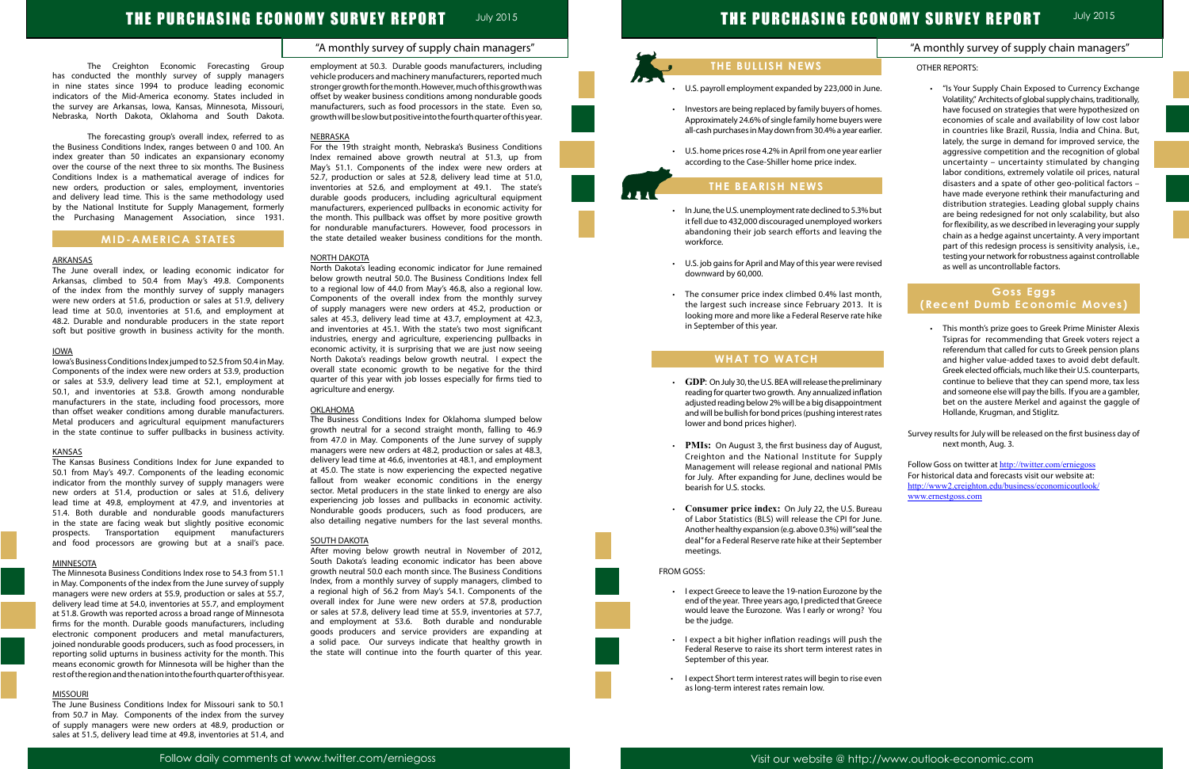### "A monthly survey of supply chain managers"

## "A monthly survey of supply chain managers"

# THE PURCHASING ECONOMY SURVEY REPORT JULY 2015

The Creighton Economic Forecasting Group has conducted the monthly survey of supply managers in nine states since 1994 to produce leading economic indicators of the Mid-America economy. States included in the survey are Arkansas, Iowa, Kansas, Minnesota, Missouri, Nebraska, North Dakota, Oklahoma and South Dakota.

The forecasting group's overall index, referred to as the Business Conditions Index, ranges between 0 and 100. An index greater than 50 indicates an expansionary economy over the course of the next three to six months. The Business Conditions Index is a mathematical average of indices for new orders, production or sales, employment, inventories and delivery lead time. This is the same methodology used by the National Institute for Supply Management, formerly the Purchasing Management Association, since 1931.

### **MID-AMERICA STATES**

#### ARKANSAS

The June overall index, or leading economic indicator for Arkansas, climbed to 50.4 from May's 49.8. Components of the index from the monthly survey of supply managers were new orders at 51.6, production or sales at 51.9, delivery lead time at 50.0, inventories at 51.6, and employment at 48.2. Durable and nondurable producers in the state report soft but positive growth in business activity for the month.

#### IOWA

Iowa's Business Conditions Index jumped to 52.5 from 50.4 in May. Components of the index were new orders at 53.9, production or sales at 53.9, delivery lead time at 52.1, employment at 50.1, and inventories at 53.8. Growth among nondurable manufacturers in the state, including food processors, more than offset weaker conditions among durable manufacturers. Metal producers and agricultural equipment manufacturers in the state continue to suffer pullbacks in business activity.

#### KANSAS

The Kansas Business Conditions Index for June expanded to 50.1 from May's 49.7. Components of the leading economic indicator from the monthly survey of supply managers were new orders at 51.4, production or sales at 51.6, delivery lead time at 49.8, employment at 47.9, and inventories at 51.4. Both durable and nondurable goods manufacturers in the state are facing weak but slightly positive economic prospects. Transportation equipment manufacturers and food processors are growing but at a snail's pace.

#### MINNESOTA

The Minnesota Business Conditions Index rose to 54.3 from 51.1 in May. Components of the index from the June survey of supply managers were new orders at 55.9, production or sales at 55.7, delivery lead time at 54.0, inventories at 55.7, and employment at 51.8. Growth was reported across a broad range of Minnesota firms for the month. Durable goods manufacturers, including electronic component producers and metal manufacturers, joined nondurable goods producers, such as food processers, in reporting solid upturns in business activity for the month. This means economic growth for Minnesota will be higher than the rest of the region and the nation into the fourth quarter of this year.

### MISSOURI

The June Business Conditions Index for Missouri sank to 50.1 from 50.7 in May. Components of the index from the survey of supply managers were new orders at 48.9, production or sales at 51.5, delivery lead time at 49.8, inventories at 51.4, and

- U.S. payroll employment expanded by 223,000 in June.
- • Investors are being replaced by family buyers of homes. Approximately 24.6% of single family home buyers were all-cash purchases in May down from 30.4% a year earlier.
- U.S. home prices rose 4.2% in April from one year earlier according to the Case-Shiller home price index.

employment at 50.3. Durable goods manufacturers, including vehicle producers and machinery manufacturers, reported much stronger growth for the month. However, much of this growth was offset by weaker business conditions among nondurable goods manufacturers, such as food processors in the state. Even so, growth will be slow but positive into the fourth quarter of this year.

#### NEBRASKA

For the 19th straight month, Nebraska's Business Conditions Index remained above growth neutral at 51.3, up from May's 51.1. Components of the index were new orders at 52.7, production or sales at 52.8, delivery lead time at 51.0, inventories at 52.6, and employment at 49.1. The state's durable goods producers, including agricultural equipment manufacturers, experienced pullbacks in economic activity for the month. This pullback was offset by more positive growth for nondurable manufacturers. However, food processors in the state detailed weaker business conditions for the month.

#### NORTH DAKOTA

North Dakota's leading economic indicator for June remained below growth neutral 50.0. The Business Conditions Index fell to a regional low of 44.0 from May's 46.8, also a regional low. Components of the overall index from the monthly survey of supply managers were new orders at 45.2, production or sales at 45.3, delivery lead time at 43.7, employment at 42.3, and inventories at 45.1. With the state's two most significant industries, energy and agriculture, experiencing pullbacks in economic activity, it is surprising that we are just now seeing North Dakota's readings below growth neutral. I expect the overall state economic growth to be negative for the third quarter of this year with job losses especially for firms tied to agriculture and energy.

| Follow Goss on twitter at http://twitter.com/erniegoss  |
|---------------------------------------------------------|
| For historical data and forecasts visit our website at: |
| http://www2.creighton.edu/business/economicoutlook/     |
| www.ernestgoss.com                                      |
|                                                         |

#### OKLAHOMA

The Business Conditions Index for Oklahoma slumped below growth neutral for a second straight month, falling to 46.9 from 47.0 in May. Components of the June survey of supply managers were new orders at 48.2, production or sales at 48.3, delivery lead time at 46.6, inventories at 48.1, and employment at 45.0. The state is now experiencing the expected negative fallout from weaker economic conditions in the energy sector. Metal producers in the state linked to energy are also experiencing job losses and pullbacks in economic activity. Nondurable goods producers, such as food producers, are also detailing negative numbers for the last several months.

#### SOUTH DAKOTA

After moving below growth neutral in November of 2012, South Dakota's leading economic indicator has been above growth neutral 50.0 each month since. The Business Conditions Index, from a monthly survey of supply managers, climbed to a regional high of 56.2 from May's 54.1. Components of the overall index for June were new orders at 57.8, production or sales at 57.8, delivery lead time at 55.9, inventories at 57.7, and employment at 53.6. Both durable and nondurable goods producers and service providers are expanding at a solid pace. Our surveys indicate that healthy growth in the state will continue into the fourth quarter of this year.

### **THE BULLISH NEWS**

### **THE BEARISH NEWS**

- • In June, the U.S. unemployment rate declined to 5.3% but it fell due to 432,000 discouraged unemployed workers abandoning their job search efforts and leaving the workforce.
- • U.S. job gains for April and May of this year were revised downward by 60,000.
- • The consumer price index climbed 0.4% last month, the largest such increase since February 2013. It is looking more and more like a Federal Reserve rate hike in September of this year.

### **WHAT TO WATCH**

- • **GDP**: On July 30, the U.S. BEA will release the preliminary reading for quarter two growth. Any annualized inflation adjusted reading below 2% will be a big disappointment and will be bullish for bond prices (pushing interest rates lower and bond prices higher).
- • **PMIs:** On August 3, the first business day of August, Creighton and the National Institute for Supply Management will release regional and national PMIs for July. After expanding for June, declines would be bearish for U.S. stocks.
- • **Consumer price index:** On July 22, the U.S. Bureau of Labor Statistics (BLS) will release the CPI for June. Another healthy expansion (e.g. above 0.3%) will "seal the deal" for a Federal Reserve rate hike at their September meetings.

#### FROM GOSS:

ľ





 • I expect Greece to leave the 19-nation Eurozone by the end of the year. Three years ago, I predicted that Greece would leave the Eurozone. Was I early or wrong? You be the judge.

- • I expect a bit higher inflation readings will push the Federal Reserve to raise its short term interest rates in September of this year.
- • I expect Short term interest rates will begin to rise even as long-term interest rates remain low.

### OTHER REPORTS:

 • "Is Your Supply Chain Exposed to Currency Exchange Volatility," Architects of global supply chains, traditionally, have focused on strategies that were hypothesized on economies of scale and availability of low cost labor in countries like Brazil, Russia, India and China. But, lately, the surge in demand for improved service, the aggressive competition and the recognition of global uncertainty – uncertainty stimulated by changing labor conditions, extremely volatile oil prices, natural disasters and a spate of other geo-political factors – have made everyone rethink their manufacturing and distribution strategies. Leading global supply chains are being redesigned for not only scalability, but also for flexibility, as we described in leveraging your supply chain as a hedge against uncertainty. A very important part of this redesign process is sensitivity analysis, i.e., testing your network for robustness against controllable as well as uncontrollable factors.

### **Goss Eggs (Recent Dumb Economic Moves)**

- • This month's prize goes to Greek Prime Minister Alexis Tsipras for recommending that Greek voters reject a referendum that called for cuts to Greek pension plans and higher value-added taxes to avoid debt default. Greek elected officials, much like their U.S. counterparts, continue to believe that they can spend more, tax less and someone else will pay the bills. If you are a gambler, bet on the austere Merkel and against the gaggle of Hollande, Krugman, and Stiglitz.
- Survey results for July will be released on the first business day of next month, Aug. 3.